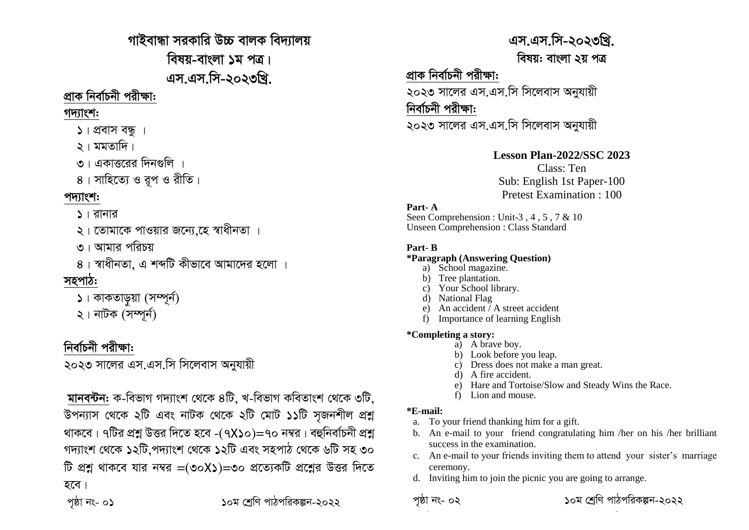গাইবান্ধা সরকারি উচ্চ বালক বিদ্যালয় বিষয়-বাংলা ১ম পত্র। এস.এস.সি-২০২৩খ্রি.

## প্ৰাক নিৰ্বাচনী পরীক্ষা:

### গদ্যাংশ:

২। মমতাদি।

৩। একাত্তরের দিনগুলি

৪। সাহিত্যে ও বুপ ও রীতি।

## পদ্যাংশ:

### ১। রানার

২। তোমাকে পাওয়ার জন্যে হে স্বাধীনতা ।

৩। আমার পরিচয়

৪। স্বাধীনতা, এ শব্দটি কীভাবে আমাদের হলো ।

## সহপাঠ:

- ১। কাকতাড়য়া (সম্পূর্ন)
- ২। নাটক (সম্পৰ্ন)

## নিৰ্বাচনী পরীক্ষা:

২০২৩ সালের এস.এস.সি সিলেবাস অনুযায়ী

মানবন্টন: ক-বিভাগ গদ্যাংশ থেকে ৪টি. খ-বিভাগ কবিতাংশ থেকে ৩টি. উপন্যাস থেকে ২টি এবং নাটক থেকে ২টি মোট ১১টি সজনশীল প্ৰশ্ন থাকবে। ৭টির প্রশ্ন উত্তর দিতে হবে -(৭X১০)=৭০ নম্বর। বহুনির্বাচনী প্রশ্ন গদ্যাংশ থেকে ১২টি পদ্যাংশ থেকে ১২টি এবং সহপাঠ থেকে ৬টি সহ ৩০ টি প্রশ্ন থাকবে যার নম্বর =(৩০X১)=৩০ প্রত্যেকটি প্রশ্নের উত্তর দিতে হবে।

পষ্ঠা নং- ০১

১০ম শেণি পাঠপরিকল্পন-২০২২

# এস.এস.সি-২০২৩খ্রি.

বিষয়: বাংলা ২য় পত্র

## প্ৰাক নিৰ্বাচনী পরীক্ষা:

২০২৩ সালের এস.এস.সি সিলেবাস অনুযায়ী নিৰ্বাচনী পরীক্ষা:

২০২৩ সালের এস.এস.সি সিলেবাস অনযায়ী

### **Lesson Plan-2022/SSC 2023**

Class: Ten Sub: English 1st Paper-100 **Pretest Examination: 100** 

### Part-A

Seen Comprehension: Unit-3, 4, 5, 7 & 10 **Unseen Comprehension : Class Standard** 

### Part. R

#### *\*Paragraph (Answering Question)*

- a) School magazine.
- b) Tree plantation.
- Your School library.
- **National Flag**
- An accident  $\overline{A}$  a street accident
- f) Importance of learning English

### \*Completing a story:

- a) A brave boy.
- b) Look before you leap.
- c) Dress does not make a man great.
- d) A fire accident.
- e) Hare and Tortoise/Slow and Steady Wins the Race.
- f) Lion and mouse

### $*E$ -mail:

- To your friend thanking him for a gift. a.
- b. An e-mail to your friend congratulating him /her on his /her brilliant success in the examination.
- c. An e-mail to your friends inviting them to attend your sister's marriage ceremony.
- d. Inviting him to join the picnic you are going to arrange.

১০ম শেণি পাঠপরিকল্পন-২০২২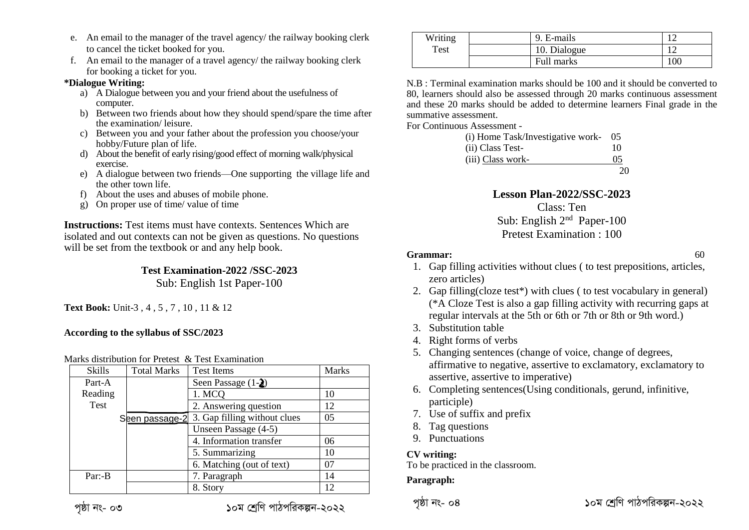- e. An email to the manager of the travel agency/ the railway booking clerk to cancel the ticket booked for you.
- f. An email to the manager of a travel agency/ the railway booking clerk for booking a ticket for you.

#### **\*Dialogue Writing:**

- a) A Dialogue between you and your friend about the usefulness of computer.
- b) Between two friends about how they should spend/spare the time after the examination/ leisure.
- c) Between you and your father about the profession you choose/your hobby/Future plan of life.
- d) About the benefit of early rising/good effect of morning walk/physical exercise.
- e) A dialogue between two friends—One supporting the village life and the other town life.
- f) About the uses and abuses of mobile phone.
- g) On proper use of time/ value of time

**Instructions:** Test items must have contexts. Sentences Which are isolated and out contexts can not be given as questions. No questions will be set from the textbook or and any help book.

#### **Test Examination-2022 /SSC-2023** Sub: English 1st Paper-100

**Text Book:** Unit-3 , 4 , 5 , 7 , 10 , 11 & 12

#### **According to the syllabus of SSC/2023**

#### Marks distribution for Pretest & Test Examination

| <b>Skills</b> | <b>Total Marks</b> | <b>Test Items</b>            | Marks          |
|---------------|--------------------|------------------------------|----------------|
| Part-A        |                    | Seen Passage $(1-2)$         |                |
| Reading       |                    | 1. MCQ                       | 10             |
| Test          |                    | 2. Answering question        | 12             |
|               | Seen passage-2     | 3. Gap filling without clues | 0 <sub>5</sub> |
|               |                    | Unseen Passage (4-5)         |                |
|               |                    | 4. Information transfer      | 06             |
|               |                    | 5. Summarizing               | 10             |
|               |                    | 6. Matching (out of text)    | 07             |
| $Par: -B$     |                    | 7. Paragraph                 | 14             |
|               |                    | 8. Story                     | 12.            |

| পষ্ঠা নং- |  | ೦೨ |
|-----------|--|----|
|-----------|--|----|

*c"ôv bs- 03 10g †kªwY cvVcwiKíb-2022 c"ôv bs- 01 10g †kªwY cvVcwiKíbv-2017 <sup>c</sup>"ôv bs- 04 10g †kªwY cvVcwiKíb-2022 c"ôv bs- 01 10g †kªwY cvVcwiKíbv-2017*

| Writing | 9. E-mails   |     |
|---------|--------------|-----|
| Test    | 10. Dialogue |     |
|         | Full marks   | 10C |

N.B : Terminal examination marks should be 100 and it should be converted to 80, learners should also be assessed through 20 marks continuous assessment and these 20 marks should be added to determine learners Final grade in the summative assessment.

For Continuous Assessment -

| (i) Home Task/Investigative work- 05 |    |
|--------------------------------------|----|
| (ii) Class Test-                     | 10 |
| (iii) Class work-                    | 05 |
|                                      | 20 |

### **Lesson Plan-2022/SSC-2023**

Class: Ten Sub: English 2nd Paper-100 Pretest Examination : 100

#### **Grammar:** 60

- 1. Gap filling activities without clues ( to test prepositions, articles, zero articles)
- 2. Gap filling(cloze test\*) with clues ( to test vocabulary in general) (\*A Cloze Test is also a gap filling activity with recurring gaps at regular intervals at the 5th or 6th or 7th or 8th or 9th word.)
- 3. Substitution table
- 4. Right forms of verbs
- 5. Changing sentences (change of voice, change of degrees, affirmative to negative, assertive to exclamatory, exclamatory to assertive, assertive to imperative)
- 6. Completing sentences(Using conditionals, gerund, infinitive, participle)
- 7. Use of suffix and prefix
- 8. Tag questions
- 9. Punctuations

### **CV writing:**

To be practiced in the classroom.

#### **Paragraph:**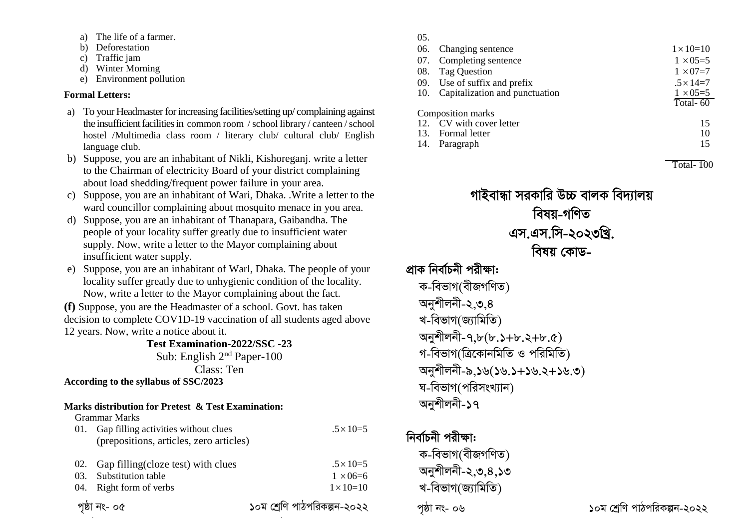- a) The life of a farmer.
- b) Deforestation
- c) Traffic jam
- d) Winter Morning
- e) Environment pollution

### **Formal Letters:**

- a) To your Headmaster for increasing facilities/setting up/ complaining against the insufficient facilities in common room / school library / canteen / school hostel /Multimedia class room / literary club/ cultural club/ English language club.
- b) Suppose, you are an inhabitant of Nikli, Kishoreganj. write a letter to the Chairman of electricity Board of your district complaining about load shedding/frequent power failure in your area.
- c) Suppose, you are an inhabitant of Wari, Dhaka. .Write a letter to the ward councillor complaining about mosquito menace in you area.
- d) Suppose, you are an inhabitant of Thanapara, Gaibandha. The people of your locality suffer greatly due to insufficient water supply. Now, write a letter to the Mayor complaining about insufficient water supply.
- e) Suppose, you are an inhabitant of Warl, Dhaka. The people of your locality suffer greatly due to unhygienic condition of the locality. Now, write a letter to the Mayor complaining about the fact.

**(f)** Suppose, you are the Headmaster of a school. Govt. has taken decision to complete COV1D-19 vaccination of all students aged above 12 years. Now, write a notice about it.

**Test Examination-2022/SSC -23** Sub: English 2nd Paper-100

Class: Ten

**According to the syllabus of SSC/2023**

### **Marks distribution for Pretest & Test Examination:**

|     | Grammar Marks                           |                             |
|-----|-----------------------------------------|-----------------------------|
| 01. | Gap filling activities without clues    | $.5 \times 10=5$            |
|     | (prepositions, articles, zero articles) |                             |
|     | Gap filling (cloze test) with clues     | $.5 \times 10=5$            |
| 03. | Substitution table                      | $1 \times 06 = 6$           |
| 04. | Right form of verbs                     | $1 \times 10 = 10$          |
|     | পৃষ্ঠা নং- ০৫                           | ১০ম শ্ৰেণি পাঠপরিকল্পন-২০২২ |

### $\alpha$  $\epsilon$

| UJ. |                                    |                    |
|-----|------------------------------------|--------------------|
|     | 06. Changing sentence              | $1 \times 10 = 10$ |
|     | 07. Completing sentence            | $1 \times 05 = 5$  |
|     | 08. Tag Question                   | $1 \times 07 = 7$  |
|     | 09. Use of suffix and prefix       | $.5 \times 14 = 7$ |
|     | 10. Capitalization and punctuation | $1 \times 05 = 5$  |
|     |                                    | Total-60           |
|     | Composition marks                  |                    |
|     | 12. CV with cover letter           | 15                 |
|     | 13. Formal letter                  | 10                 |
|     | 14. Paragraph                      | 15                 |
|     |                                    |                    |

 $\overline{\text{Total- }100}$ 

*পাইবান্ধা সরকারি উচ্চ বালক বিদ্যালয় বি*ষয়-গণিত *Gm.Gm.wm-2023wLª. welq †KvW-*<u>প্ৰাক নিৰ্বাচনী পৱীক্ষা:</u>

*ক-বিভাগ(বীজগণিত)* অনুশীলনী-২,৩.*8* খ-বিভাগ(জ্যামিতি) *Abykxjbx-7,8(8.1+8.2+8.5) গ-বি*ভাগ(ত্ৰিকোনমিতি ও পরিমিতি) *Abykxjbx-9,16(16.1+16.2+16.3)*  $v = \sqrt{q}$ সিগ (পরিসংখ্যান) অনশীলনী-১৭

## *নিৰ্বা*চনী পৱীক্ষা:

*ক-বিভাগ(বীজগণিত) Abykxjbx-2,3,4,13* খ-বিভাগ(জ্যামিতি)

*c"ôv bs- 06 10g †kªwY cvVcwiKíb-2022*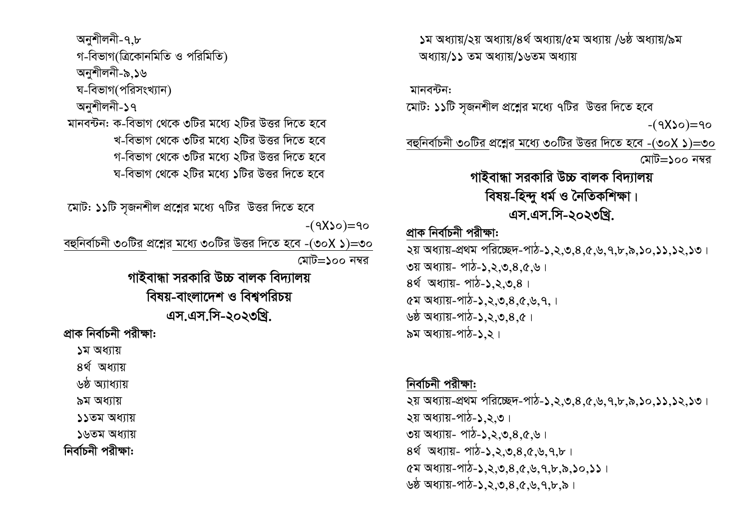*Abykxjbx-7,8 প-বি*ভাগ(ত্রিকোনমিতি ও পরিমিতি) অনুশীলনী-৯.১৬ ম-বিভাগ(পরিসংখ্যান) **অনুশীলনী-১৭** মানবন্টন: ক-বিভাগ থেকে ৩টির মধ্যে ২টির উত্তর দিতে হবে খ-বিভাগ থেকে ৩টির মধ্যে ২টির উত্তর দিতে হবে *প-বি*ভাগ থেকে ৩টির মধ্যে ২টির উত্তর দিতে হবে *ঘ-বি*ভাগ থেকে ২টির মধ্যে ১টির উত্তর দিতে হবে

*‡gvU: 11wU m"Rbkxj cÖ‡kœi g‡a¨ 7wUi DËi w`‡Z n‡e* 

 *-(7*X*10)=70*

*eûwbev©Pbx 30wUi cÖ‡kœi g‡a¨ 30wUi DËi w`‡Z n‡e -(30*X *1)=30 †gvU=100 b¤^i*

> *পাইবান্ধা সৱকাৱি উচ্চ বালক বিদ্যালয় বিষয়-বাংলাদেশ ও বিশ্বপরিচয় Gm.Gm.wm-2023wLª.*

*প্ৰাক নিৰ্বাচনী প*রীক্ষা:

*1g Aa¨vq*

*4\_© Aa¨vq*

<u>৬ষ্ঠ অ্যাধ্যায়</u>

*৯*ম অধ্যায়

*11Zg Aa¨vq*

**১৬তম অধ্যায়** 

**নিৰ্বাচনী পরীক্ষা:** 

*1g Aa¨vq/2q Aa¨vq/4\_© Aa¨vq/5g Aa¨vq /6ô Aa¨vq/9g*  **অধ্যায়/১১ তম অধ্যায়/১৬তম অধ্যায়** 

*gvbe›Ub:* 

*‡gvU: 11wU m"Rbkxj cÖ‡kœi g‡a¨ 7wUi DËi w`‡Z n‡e* 

 *-(7*X*10)=70*

*eûwbev©Pbx 30wUi cÖ‡kœi g‡a¨ 30wUi DËi w`‡Z n‡e -(30*X *1)=30 †gvU=100 b¤^i*

> *পাইবান্ধা সৱকাৱি উচ্চ বালক বিদ্যালয় বিষয়-হিন্দু ধৰ্ম ও নৈতিকশিক্ষা। Gm.Gm.wm-2023wLª.*

## <u>প্ৰাক নিৰ্বাচনী পরীক্ষা:</u>

*2q Aa¨vq-cÖ\_g cwi‡"Q`-cvV-1,2,3,4,5,6,7,8,9,10,11,12,13| 3q Aa¨vq- cvV-1,2,3,4,5,6|* 8ৰ্থ অধ্যায়- পাঠ-১,২,৩,৪। *5g Aa¨vq-cvV-1,2,3,4,5,6,7,|* <u>৬ষ্ঠ অধ্যায়-পাঠ-১.২.৩.৪.৫।</u> **৯ম অধ্যায়-পাঠ-১.২।** 

## *নিৰ্বাচনী পরীক্ষা:*

*2q Aa¨vq-cÖ\_g cwi‡"Q`-cvV-1,2,3,4,5,6,7,8,9,10,11,12,13|* **২য় অধ্যায়-পাঠ-১,২,৩। ৩য় অধ্যায়- পাঠ-১,২,৩,৪,৫,৬**। *4\_© Aa¨vq- cvV-1,2,3,4,5,6,7,8| 5g Aa¨vq-cvV-1,2,3,4,5,6,7,8,9,10,11|* <u>৬ষ্ঠ অধ্যায়-পাঠ-১,২,৩,৪,৫,৬,৭,৮,৯,</u>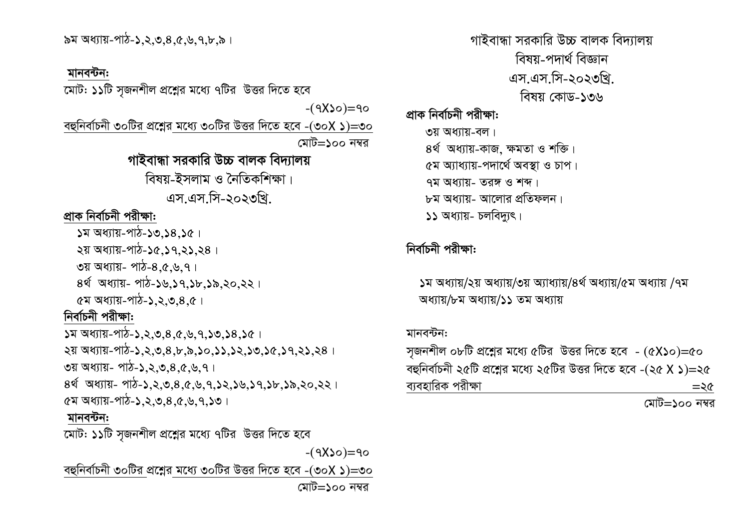$57$  অধ্যায়-পাঠ-১.২.৩.৪.৫.৬.৭.৮.৯।

### মানবন্টন:

মোট: ১১টি সজনশীল প্রশ্নের মধ্যে ৭টির উত্তর দিতে হবে

 $-(9x)$ o)=90

বহুনির্বাচনী ৩০টির প্রশ্নের মধ্যে ৩০টির উত্তর দিতে হবে -(৩০X ১)=৩০ মোট=১০০ নম্বর

## গাইবান্ধা সরকারি উচ্চ বালক বিদ্যালয়

বিষয়-ইসলাম ও নৈতিকশিক্ষা

এস.এস.সি-২০২৩খি.

### প্ৰাক নিৰ্বাচনী পরীক্ষা:

 $34$  অধ্যায়-পাঠ-১৩,১৪,১৫।

২য় অধ্যায়-পাঠ-১৫,১৭,২১,২৪।

 $\circ$ য় অধ্যায়- পাঠ-৪,৫,৬,৭।

8র্থ অধ্যায়- পাঠ-১৬,১৭,১৮,১৯,২০,২২।

 $(27)$  অধ্যায়-পাঠ-১.২.৩.৪.৫

## নিৰ্বাচনী পরীক্ষা:

२य़ अधाय-भार्य-১,२,७,8,৮,৯,১०,১১,১२,১७,১৫,১৭,२১,२८।  $\sigma$ য় অধ্যায়- পাঠ-১,২,৩,৪,৫,৬,৭। 8र्थ अधाय- পार्ट-১,२,७,८,८,५,१,১२,১৬,১৭,১৮,১৯,२०,२२।  $\alpha$ ম অধ্যায়-পাঠ-১,২,৩,৪, $\alpha$ ,৬,৭,১৩।

## মানবন্টন:

মোট: ১১টি সজনশীল প্রশ্নের মধ্যে ৭টির উত্তর দিতে হবে

 $-(9x) \circ = 90$ 

বহুনির্বাচনী ৩০টির প্রশ্নের মধ্যে ৩০টির উত্তর দিতে হবে -(৩০X ১)=৩০ মোট=১০০ নম্বর

গাইবান্ধা সরকারি উচ্চ বালক বিদ্যালয় বিষয-পদাৰ্থ বিজ্ঞান এস.এস.সি-২০২৩খি. বিষয় কোড-১৩৬

প্ৰাক নিৰ্বাচনী পরীক্ষা:

- ৩য় অধ্যায়-বল। 8ৰ্থ অধ্যায়-কাজ ক্ষমতা ও শক্তি। ৫ম অ্যাধ্যায়-পদাৰ্থে অবস্থা ও চাপ।  $97$  অধ্যায়- তরঙ্গ ও শব্দ।
- ৮ম অধ্যায়- আলোর প্রতিফলন।
- ১১ অধ্যায়- চলবিদ্যৎ।

## নিৰ্বাচনী পরীক্ষা:

১ম অধ্যায়/২য় অধ্যায়/৩য় অ্যাধ্যায়/৪র্থ অধ্যায়/৫ম অধ্যায় /৭ম অধ্যায়/৮ম অধ্যায়/১১ তম অধ্যায়

### মানবন্টন:

সজনশীল ০৮টি প্রশ্নের মধ্যে ৫টির উত্তর দিতে হবে -  $(6X)$ ০)=৫০ বহুনির্বাচনী ২৫টি প্রশ্নের মধ্যে ২৫টির উত্তর দিতে হবে -(২৫ X ১)=২৫ ব্যবহারিক পরীক্ষা  $=$ २৫

মোট=১০০ নম্বর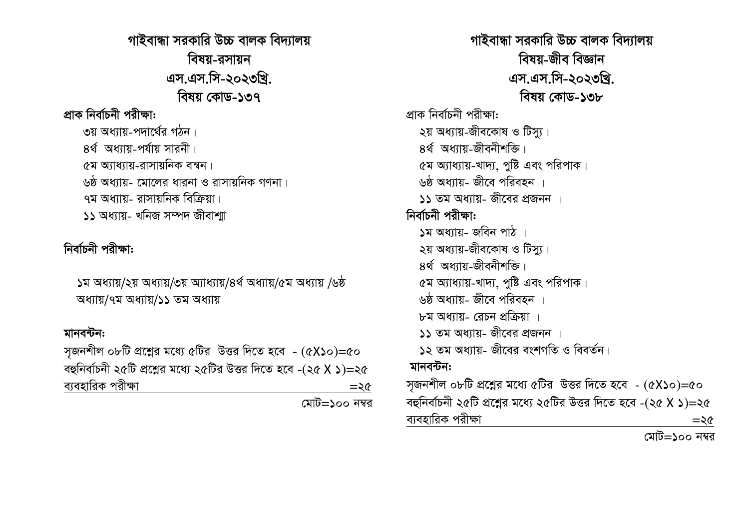*পাইবান্ধা সরকারি উচ্চ বালক বিদ্যালয় বিষয়-ৱসায়ন Gm.Gm.wm-2023wLª. বিষয় কোড-১*৩৭ <u>প্ৰাক নিৰ্বাচনী পৱীক্ষা:</u> ৩য় অধ্যায়-পদার্থের গঠন। **8ৰ্থ অধ্যায়-পৰ্যায় সাৱনী**। *(*১ম অ্যাধ্যায়-রাসায়নিক বন্ধন। ্ডষ্ঠ অধ্যায়- মোলের ধারনা ও রাসায়নিক গণনা। <mark>৭ম অ</mark>ধ্যায- রাসায়নিক বিক্রিয়া । **১১ অধ্যায়- খনিজ সম্পদ জীবাশা** 

## *নিৰ্বাচনী প*রীক্ষা:

*1g Aa¨vq/2q Aa¨vq/3q A¨va¨vq/4\_© Aa¨vq/5g Aa¨vq /6ô অধ্যায়*/৭ম অধ্যায়/১১ তম অধ্যায়

### <u>মানবন্টন:</u>

*m"Rbkxj 08wU cÖ‡kœi g‡a¨ 5wUi DËi w`‡Z n‡e - (5*X*10)=50 eûwbev©Pbx 25wU cÖ‡kœi g‡a¨ 25wUi DËi w`‡Z n‡e -(25* X *1)=25 e¨envwiK cixÿv =25* 

 *†gvU=100 b¤^i*

*পাইবান্ধা সরকারি উচ্চ বালক বিদ্যালয় বিষয়-জীব বিজ্ঞান Gm.Gm.wm-2023wLª. welq †KvW-138 প্ৰাক নিৰ্বা*চনী পৱীক্ষা:  $|2a|$  অধ্যায়-জীবকোষ ও টিস্যু। *8ৰ্থ* **অধ্যায়-জীবনীশক্তি।** <u>⁄</u>যে অ্যাধ্যায়-খাদ্য, পুষ্টি এবং পরিপাক। ়<u>৬</u>ষ্ঠ অধ্যায়- জীবে পরিবহন । **১১ তম অ**ধ্যায়- জীবের প্রজনন । *নিৰ্বাচনী পৱীক্ষা:* <u>১ম অধ্যায়- জবিন পাঠ</u>  $|2a|$  অধ্যায়-জীবকোষ ও টিস্যু।  $8$ র্থ অধ্যায়-জীবনীশক্তি। *৫ম অ্যাধ্যায়-খাদ্য, পুষ্টি এবং পরিপাক।* <u>৬ষ্ঠ অধ্যায়- জীবে পরিবহন ।</u>  $b$ ম অধ্যায়- রেচন প্রক্রিয়া । **১১ তম অ**ধ্যায়- জীবের প্রজনন । ১২ তম অধ্যায়- জীবের বংশগতি ও বিবর্তন। *gvbe›Ub: m"Rbkxj 08wU cÖ‡kœi g‡a¨ 5wUi DËi w`‡Z n‡e - (5*X*10)=50 eûwbev©Pbx 25wU cÖ‡kœi g‡a¨ 25wUi DËi w`‡Z n‡e -(25* X *1)=25 e¨envwiK cixÿv =25* 

 *†gvU=100 b¤^i*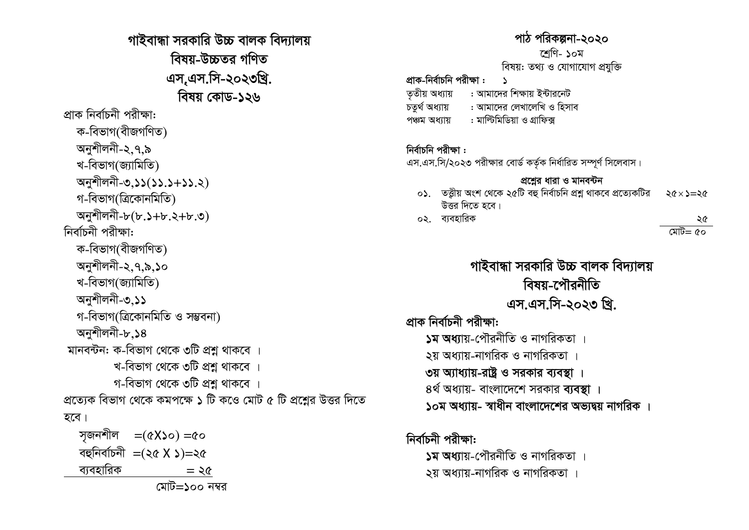গাইবান্ধা সরকারি উচ্চ বালক বিদ্যালয় বিষয়-উচ্চতৱ গণিত এস,এস.সি-২০২৩খ্রি. বিষয় কোড-১২৬ প্ৰাক নিৰ্বাচনী পরীক্ষা: ক-বিভাগ(বীজগণিত) অনুশীলনী-২.৭.৯ খ-বিভাগ(জ্যামিতি) অনুশীলনী-৩,১১(১১.১+১১.২) গ-বিভাগ(ত্রিকোনমিতি) অনুশীলনী-৮(৮.১+৮.২+৮.৩) নিৰ্বাচনী পরীক্ষা: ক-বিভাগ(বীজগণিত) অনুশীলনী-২.৭.৯.১০ খ-বিভাগ(জ্যামিতি) অনুশীলনী-৩.১১ গ-বিভাগ(ত্রিকোনমিতি ও সম্ভবনা) অনুশীলনী-৮.১৪ মানবন্টন: ক-বিভাগ থেকে ৩টি প্রশ্ন থাকবে । খ-বিভাগ থেকে ৩টি প্রশ্ন থাকবে । গ-বিভাগ থেকে ৩টি প্রশ্ন থাকবে । প্রত্যেক বিভাগ থেকে কমপক্ষে ১ টি কওে মোট ৫ টি প্রশ্নের উত্তর দিতে হবে। সজনশীল  $=(\alpha X$ ১০) =৫০ বহুনিৰ্বাচনী =(২৫ X  $\triangle$ )=২৫ ব্যবহারিক

## পাঠ পরিকল্পনা-২০২০

#### শেণি- ১০ম

বিষয়: তথ্য ও যোগাযোগ প্ৰযুক্তি

## প্রাক-নির্বাচনি পরীক্ষা :

- : আমাদের শিক্ষায় ইন্টারনেট ততীয় অধ্যায়
- চতৰ্থ অধ্যায় : আমাদের লেখালেখি ও হিসাব
- : মাল্টিমিডিয়া ও গ্রাফিক্স পঞ্চম অধ্যায়

### নিৰ্বাচনি পরীক্ষা:

এস.এস.সি/২০২৩ পরীক্ষার বোর্ড কর্তৃক নির্ধারিত সম্পূর্ণ সিলেবাস।

### প্ৰশ্নের ধারা ও মানবন্টন

- ০১. তত্তীয় অংশ থেকে ২৫টি বহু নির্বাচনি প্রশ্ন থাকবে প্রত্যেকটির  $26 \times 2 = 26$ উত্তর দিতে হবে।
- ০২. ব্যবহারিক

#### ২৫

মেট= ৫০

গাইবান্ধা সরকারি উচ্চ বালক বিদ্যালয় বিষয়-পৌৱনীতি এস.এস.সি-২০২৩ খ্রি. প্ৰাক নিৰ্বাচনী পৱীক্ষা: ১ম অধ্যায়-পৌরনীতি ও নাগরিকতা ২য় অধ্যায়-নাগরিক ও নাগরিকতা । ৩য় অ্যাধ্যায়-রাষ্ট্র ও সরকার ব্যবস্থা । ৪র্থ অধ্যায়- বাংলাদেশে সরকার ব্যবস্থা । ১০ম অধ্যায়- স্বাধীন বাংলাদেশের অভ্যদ্বয় নাগরিক ।

## নিৰ্বাচনী পৱীক্ষা:

১ম অধ্যায়-পৌরনীতি ও নাগরিকতা ২য় অধ্যায়-নাগরিক ও নাগরিকতা ।

মোট=১০০ নম্বর

 $=$   $\geq$   $\alpha$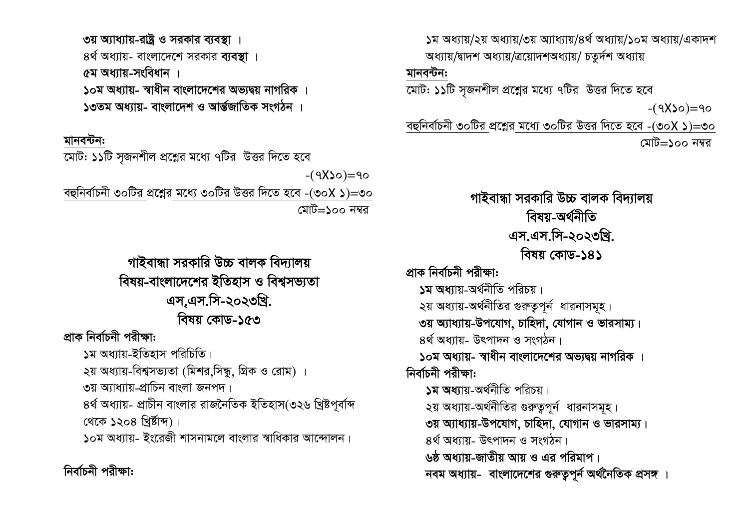*-(7*X*10)=70 1g Aa¨vq/2q Aa¨vq/3q A¨va¨vq/4\_© Aa¨vq/10g Aa¨vq/GKv`k অধ্যায়/*দ্বাদশ অধ্যায়/ত্ৰয়োদশঅধ্যায়/ চতুৰ্দশ অধ্যায় মানবন্টন: *‡gvU: 11wU m"Rbkxj cÖ‡kœi g‡a¨ 7wUi DËi w`‡Z n‡e -(7*X*10)=70 eûwbev©Pbx 30wUi cÖ‡kœi g‡a¨ 30wUi DËi w`‡Z n‡e -(30*X *1)=30 †gvU=100 b¤^i পাইবান্ধা সরকারি উচ্চ বালক বিদ্যালয় বিষয়-অৰ্থনীতি Gm.Gm.wm-2023wLª. welq †KvW-141* <u>প্ৰাক নিৰ্বাচনী পৱীক্ষা:</u> **১ম অধ্যা**য়-অৰ্থনীতি পরিচয়।  $2\pi$  অধ্যায়-অর্থনীতির গুরুতুপূর্ন ধারনাসমূহ। **৩য় অ্যাধ্যায়-উপযোগ, চাহিদা, যোগান ও ভারসাম্য।**  $6$ র্থ অধ্যায়- উৎপাদন ও সংগঠন। <mark>১০ম অ</mark>ধ্যায়- স্বাধীন বাংলাদেশের অভ্যদ্বয় নাগরিক । *নিৰ্বাচনী পরীক্ষা:* **১ম অধ্যা**য়-অৰ্থনীতি পৱিচয়।  $2$ য় অধ্যায়-অর্থনীতির গুরুতুপূর্ন ধারনাসমূহ। **৩য় অ্যাধ্যায়-উপযোগ, চাহিদা, যোগান ও ভারসাম্য।**  $68$ র্থ অধ্যায়- উৎপাদন ও সংগঠন। <u>১</u>ঠ অধ্যায়-জাতীয় আয় ও এর পরিমাপ। *নবম অধ্যায়- বাংলাদেশের গুরুত্বপূর্ন অর্থনৈতিক প্রসঙ্গ* ।

**৩য় অ্যাধ্যায়-রাষ্ট্র ও সরকার ব্যবস্থা** ।  $6$ র্থ অধ্যায়- বাংলাদেশে সরকার **ব্যবস্থা** । *৫ম অধ্যায়-সংবিধান ।* <mark>১০ম অধ্যায়- স্বাধীন বাংলাদেশের অভ্যদ্বয় নাগরিক ।</mark> <mark>1৩তম অ</mark>ধ্যায়- বাংলাদেশ ও আৰ্ন্তজাতিক সংগঠন

### মানবন্টন:

*‡gvU: 11wU m"Rbkxj cÖ‡kœi g‡a¨ 7wUi DËi w`‡Z n‡e* 

*eûwbev©Pbx 30wUi cÖ‡kœi g‡a¨ 30wUi DËi w`‡Z n‡e -(30*X *1)=30 †gvU=100 b¤^i*

# *পাইবান্ধা স*রকারি উচ্চ বালক বিদ্যালয় *বি*ষয়-বাংলাদেশের ইতিহাস ও বিশ্বসভ্যতা *Gm.&Gm.wm-2023wLª. বিষয় কোড-১৫*৩

*প্ৰাক নিৰ্বাচনী পৱীক্ষা:* 

**১**ম অধ্যায়-ইতিহাস পরিচিতি।

২য় অধ্যায়-বিশ্বসভ্যতা (মিশর,সিন্ধু, গ্রিক ও রোম) ।

**৩**য় অ্যাধ্যায়-প্রাচিন বাংলা জনপদ।

*৪র্থ* অধ্যায়- প্রাচীন বাংলার রাজনৈতিক ইতিহাস(৩২৬ খ্রিষ্টপূর্বাব্দ *†\_‡K 1204 wLªó©vã)|*

 $\,$ ১০ম অধ্যায়- ইংরেজী শাসনামলে বাংলার স্বাধিকার আন্দোলন।

*নিৰ্বাচনী প*রীক্ষা: